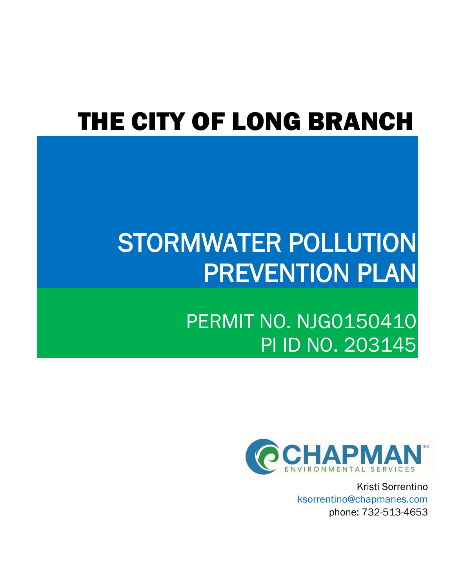# THE CITY OF LONG BRANCH

# STORMWATER POLLUTION PREVENTION PLAN

PERMIT NO. NJG0150410 PI ID NO. 203145



Kristi Sorrentino [ksorrentino@chapmanes.com](mailto:ksorrentino@chapmanes.com) phone: 732-513-4653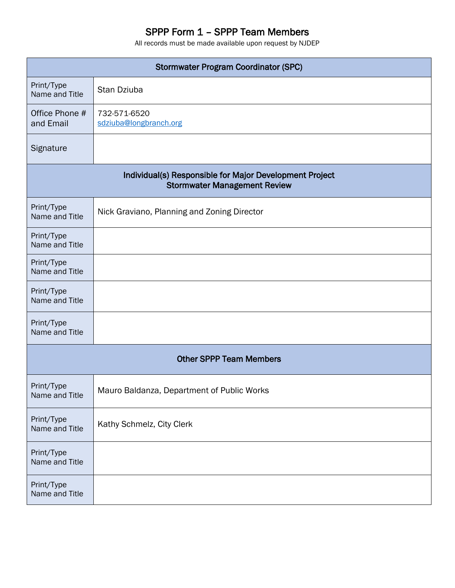# SPPP Form 1 – SPPP Team Members

| <b>Stormwater Program Coordinator (SPC)</b> |                                                                                                |  |  |
|---------------------------------------------|------------------------------------------------------------------------------------------------|--|--|
| Print/Type<br>Name and Title                | Stan Dziuba                                                                                    |  |  |
| Office Phone #<br>and Email                 | 732-571-6520<br>sdziuba@longbranch.org                                                         |  |  |
| Signature                                   |                                                                                                |  |  |
|                                             | Individual(s) Responsible for Major Development Project<br><b>Stormwater Management Review</b> |  |  |
| Print/Type<br>Name and Title                | Nick Graviano, Planning and Zoning Director                                                    |  |  |
| Print/Type<br>Name and Title                |                                                                                                |  |  |
| Print/Type<br>Name and Title                |                                                                                                |  |  |
| Print/Type<br>Name and Title                |                                                                                                |  |  |
| Print/Type<br>Name and Title                |                                                                                                |  |  |
|                                             | <b>Other SPPP Team Members</b>                                                                 |  |  |
| Print/Type<br>Name and Title                | Mauro Baldanza, Department of Public Works                                                     |  |  |
| Print/Type<br>Name and Title                | Kathy Schmelz, City Clerk                                                                      |  |  |
| Print/Type<br>Name and Title                |                                                                                                |  |  |
| Print/Type<br>Name and Title                |                                                                                                |  |  |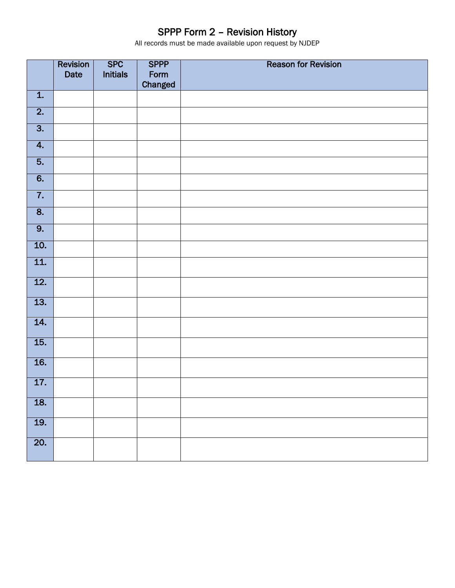# SPPP Form 2 – Revision History

|                   | Revision | <b>SPC</b>      | <b>SPPP</b> | <b>Reason for Revision</b> |
|-------------------|----------|-----------------|-------------|----------------------------|
|                   | Date     | <b>Initials</b> | Form        |                            |
|                   |          |                 | Changed     |                            |
| $\overline{1}$ .  |          |                 |             |                            |
| $\overline{2}$ .  |          |                 |             |                            |
| $\overline{3}$ .  |          |                 |             |                            |
| $\overline{4}$ .  |          |                 |             |                            |
| $\overline{5}$ .  |          |                 |             |                            |
| $\overline{6}$ .  |          |                 |             |                            |
| $\overline{7}$ .  |          |                 |             |                            |
| $\overline{8}$ .  |          |                 |             |                            |
| $\overline{9}$ .  |          |                 |             |                            |
| $\overline{10}$ . |          |                 |             |                            |
| $\overline{11}$ . |          |                 |             |                            |
| $\overline{12}$ . |          |                 |             |                            |
| $\overline{13}$ . |          |                 |             |                            |
| $\overline{14}$ . |          |                 |             |                            |
| $\overline{15}$ . |          |                 |             |                            |
| $\overline{16}$ . |          |                 |             |                            |
| $\overline{17}$ . |          |                 |             |                            |
| 18.               |          |                 |             |                            |
| $\overline{19.}$  |          |                 |             |                            |
| $\overline{20}$ . |          |                 |             |                            |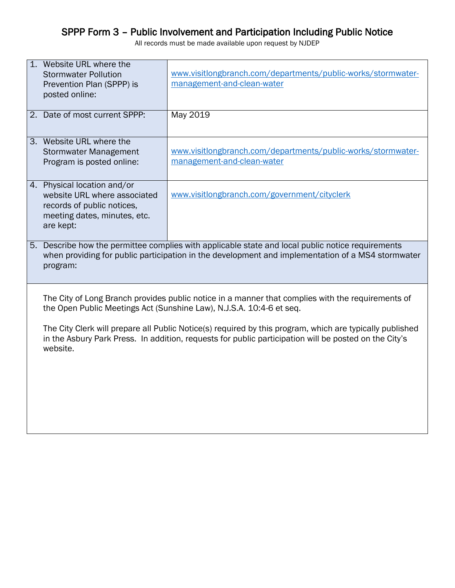#### SPPP Form 3 – Public Involvement and Participation Including Public Notice

| 1. Website URL where the                                                                          |                                                                                                          |  |
|---------------------------------------------------------------------------------------------------|----------------------------------------------------------------------------------------------------------|--|
| <b>Stormwater Pollution</b>                                                                       | www.visitlongbranch.com/departments/public-works/stormwater-                                             |  |
| Prevention Plan (SPPP) is                                                                         | management-and-clean-water                                                                               |  |
| posted online:                                                                                    |                                                                                                          |  |
|                                                                                                   |                                                                                                          |  |
| 2. Date of most current SPPP:                                                                     | May 2019                                                                                                 |  |
|                                                                                                   |                                                                                                          |  |
| 3. Website URL where the                                                                          |                                                                                                          |  |
| <b>Stormwater Management</b>                                                                      | www.visitlongbranch.com/departments/public-works/stormwater-                                             |  |
| Program is posted online:                                                                         | management-and-clean-water                                                                               |  |
|                                                                                                   |                                                                                                          |  |
| 4. Physical location and/or                                                                       |                                                                                                          |  |
| website URL where associated                                                                      | www.visitlongbranch.com/government/cityclerk                                                             |  |
| records of public notices,                                                                        |                                                                                                          |  |
| meeting dates, minutes, etc.                                                                      |                                                                                                          |  |
| are kept:                                                                                         |                                                                                                          |  |
|                                                                                                   |                                                                                                          |  |
|                                                                                                   | 5. Describe how the permittee complies with applicable state and local public notice requirements        |  |
| when providing for public participation in the development and implementation of a MS4 stormwater |                                                                                                          |  |
| program:                                                                                          |                                                                                                          |  |
|                                                                                                   |                                                                                                          |  |
|                                                                                                   | The City of Long Branch provides public notice in a manner that complies with the requirements of        |  |
|                                                                                                   | the Open Public Meetings Act (Sunshine Law), N.J.S.A. 10:4-6 et seq.                                     |  |
|                                                                                                   |                                                                                                          |  |
|                                                                                                   | The City Clerk will prepare all Public Notice(s) required by this program, which are typically published |  |
|                                                                                                   | in the Asbury Park Press. In addition, requests for public participation will be posted on the City's    |  |
| website.                                                                                          |                                                                                                          |  |
|                                                                                                   |                                                                                                          |  |
|                                                                                                   |                                                                                                          |  |
|                                                                                                   |                                                                                                          |  |
|                                                                                                   |                                                                                                          |  |
|                                                                                                   |                                                                                                          |  |
|                                                                                                   |                                                                                                          |  |
|                                                                                                   |                                                                                                          |  |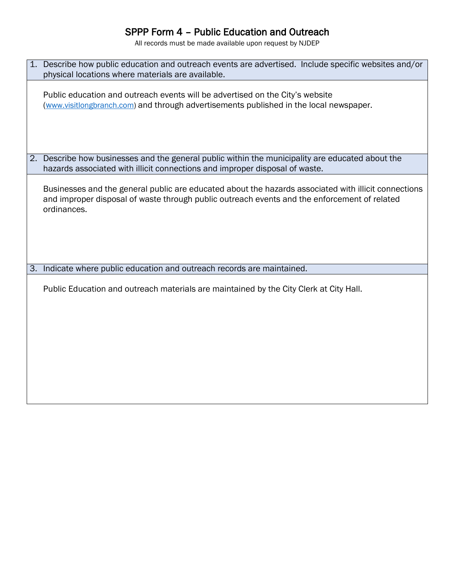## SPPP Form 4 – Public Education and Outreach

| 1. Describe how public education and outreach events are advertised. Include specific websites and/or<br>physical locations where materials are available.                                                          |
|---------------------------------------------------------------------------------------------------------------------------------------------------------------------------------------------------------------------|
| Public education and outreach events will be advertised on the City's website<br>(www.visitlongbranch.com) and through advertisements published in the local newspaper.                                             |
| 2. Describe how businesses and the general public within the municipality are educated about the<br>hazards associated with illicit connections and improper disposal of waste.                                     |
| Businesses and the general public are educated about the hazards associated with illicit connections<br>and improper disposal of waste through public outreach events and the enforcement of related<br>ordinances. |
| 3. Indicate where public education and outreach records are maintained.                                                                                                                                             |
| Public Education and outreach materials are maintained by the City Clerk at City Hall.                                                                                                                              |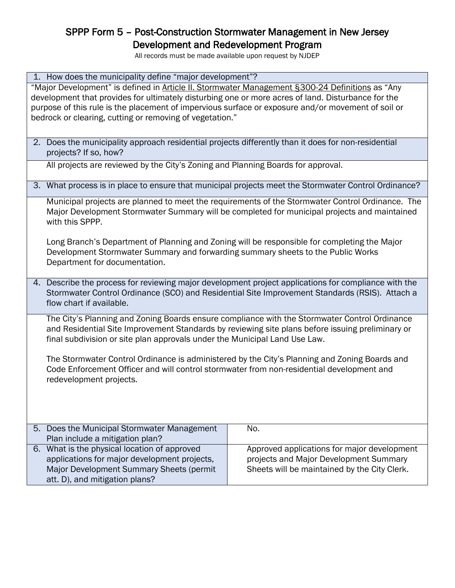## SPPP Form 5 – Post-Construction Stormwater Management in New Jersey Development and Redevelopment Program

All records must be made available upon request by NJDEP

#### 1. How does the municipality define "major development"?

"Major Development" is defined in Article II. Stormwater Management §300-24 [Definitions](https://ecode360.com/6282611#6282611) as "Any development that provides for ultimately disturbing one or more acres of land. Disturbance for the purpose of this rule is the placement of impervious surface or exposure and/or movement of soil or bedrock or clearing, cutting or removing of vegetation."

2. Does the municipality approach residential projects differently than it does for non-residential projects? If so, how?

All projects are reviewed by the City's Zoning and Planning Boards for approval.

3. What process is in place to ensure that municipal projects meet the Stormwater Control Ordinance?

Municipal projects are planned to meet the requirements of the Stormwater Control Ordinance. The Major Development Stormwater Summary will be completed for municipal projects and maintained with this SPPP.

Long Branch's Department of Planning and Zoning will be responsible for completing the Major Development Stormwater Summary and forwarding summary sheets to the Public Works Department for documentation.

4. Describe the process for reviewing major development project applications for compliance with the Stormwater Control Ordinance (SCO) and Residential Site Improvement Standards (RSIS). Attach a flow chart if available.

The City's Planning and Zoning Boards ensure compliance with the Stormwater Control Ordinance and Residential Site Improvement Standards by reviewing site plans before issuing preliminary or final subdivision or site plan approvals under the Municipal Land Use Law.

The Stormwater Control Ordinance is administered by the City's Planning and Zoning Boards and Code Enforcement Officer and will control stormwater from non-residential development and redevelopment projects.

| 5. Does the Municipal Stormwater Management  | No.                                          |
|----------------------------------------------|----------------------------------------------|
| Plan include a mitigation plan?              |                                              |
| 6. What is the physical location of approved | Approved applications for major development  |
| applications for major development projects, | projects and Major Development Summary       |
| Major Development Summary Sheets (permit     | Sheets will be maintained by the City Clerk. |
| att. D), and mitigation plans?               |                                              |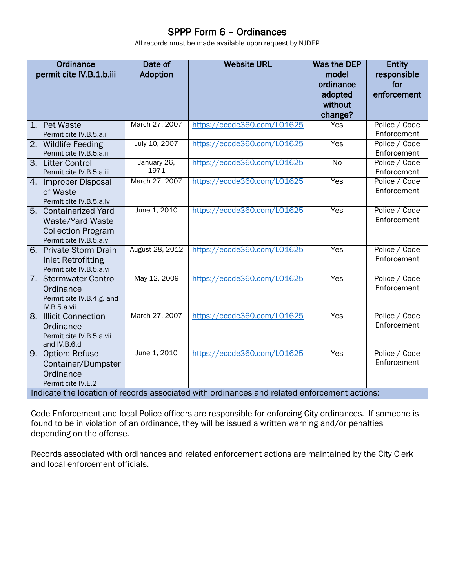## SPPP Form 6 – Ordinances

All records must be made available upon request by NJDEP

|    | Ordinance<br>permit cite IV.B.1.b.iii                                                            | Date of<br><b>Adoption</b> | <b>Website URL</b>                                                                                                          | <b>Was the DEP</b><br>model<br>ordinance<br>adopted<br>without<br>change? | <b>Entity</b><br>responsible<br>for<br>enforcement |
|----|--------------------------------------------------------------------------------------------------|----------------------------|-----------------------------------------------------------------------------------------------------------------------------|---------------------------------------------------------------------------|----------------------------------------------------|
| 1. | <b>Pet Waste</b><br>Permit cite IV.B.5.a.i                                                       | March 27, 2007             | https://ecode360.com/L01625                                                                                                 | Yes                                                                       | Police / Code<br>Enforcement                       |
|    | 2. Wildlife Feeding<br>Permit cite IV.B.5.a.ii                                                   | July 10, 2007              | https://ecode360.com/L01625                                                                                                 | Yes                                                                       | Police / Code<br>Enforcement                       |
|    | 3. Litter Control<br>Permit cite IV.B.5.a.iii                                                    | January 26,<br>1971        | https://ecode360.com/L01625                                                                                                 | $\overline{N}$                                                            | Police / Code<br>Enforcement                       |
|    | 4. Improper Disposal<br>of Waste<br>Permit cite IV.B.5.a.iv                                      | March 27, 2007             | https://ecode360.com/L01625                                                                                                 | Yes                                                                       | Police / Code<br>Enforcement                       |
|    | 5. Containerized Yard<br>Waste/Yard Waste<br><b>Collection Program</b><br>Permit cite IV.B.5.a.v | June 1, 2010               | https://ecode360.com/L01625                                                                                                 | Yes                                                                       | Police / Code<br>Enforcement                       |
|    | 6. Private Storm Drain<br><b>Inlet Retrofitting</b><br>Permit cite IV.B.5.a.vi                   | August 28, 2012            | https://ecode360.com/L01625                                                                                                 | Yes                                                                       | Police / Code<br>Enforcement                       |
|    | 7. Stormwater Control<br>Ordinance<br>Permit cite IV.B.4.g. and<br>IV.B.5.a.vii                  | May 12, 2009               | https://ecode360.com/L01625                                                                                                 | Yes                                                                       | Police / Code<br>Enforcement                       |
|    | 8. Illicit Connection<br>Ordinance<br>Permit cite IV.B.5.a.vii<br>and IV.B.6.d                   | March 27, 2007             | https://ecode360.com/L01625                                                                                                 | Yes                                                                       | Police / Code<br>Enforcement                       |
|    | 9. Option: Refuse<br>Container/Dumpster<br>Ordinance<br>Permit cite IV.E.2                       | June 1, 2010               | https://ecode360.com/L01625<br>Indicate the location of records associated with ordinances and related enforcement actions: | Yes                                                                       | Police / Code<br>Enforcement                       |

Code Enforcement and local Police officers are responsible for enforcing City ordinances. If someone is found to be in violation of an ordinance, they will be issued a written warning and/or penalties depending on the offense.

Records associated with ordinances and related enforcement actions are maintained by the City Clerk and local enforcement officials.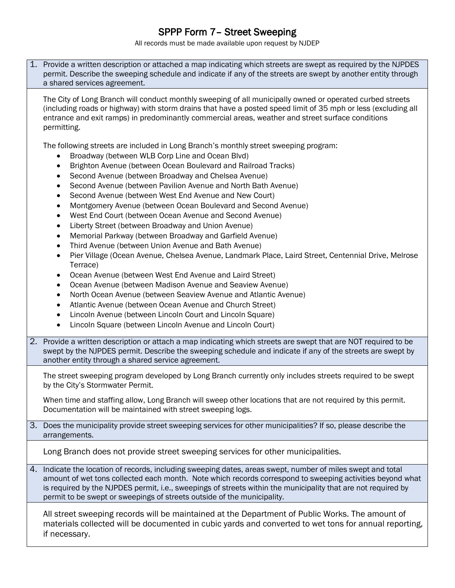# SPPP Form 7– Street Sweeping

| 1. Provide a written description or attached a map indicating which streets are swept as required by the NJPDES<br>permit. Describe the sweeping schedule and indicate if any of the streets are swept by another entity through<br>a shared services agreement.                                                                                                                                                                                                                                                                                                                                                                                                                                                                                                                                                                                                                                                                                                                                                                                                                                                                                                                                                                                                                                                                                                                                 |
|--------------------------------------------------------------------------------------------------------------------------------------------------------------------------------------------------------------------------------------------------------------------------------------------------------------------------------------------------------------------------------------------------------------------------------------------------------------------------------------------------------------------------------------------------------------------------------------------------------------------------------------------------------------------------------------------------------------------------------------------------------------------------------------------------------------------------------------------------------------------------------------------------------------------------------------------------------------------------------------------------------------------------------------------------------------------------------------------------------------------------------------------------------------------------------------------------------------------------------------------------------------------------------------------------------------------------------------------------------------------------------------------------|
| The City of Long Branch will conduct monthly sweeping of all municipally owned or operated curbed streets<br>(including roads or highway) with storm drains that have a posted speed limit of 35 mph or less (excluding all<br>entrance and exit ramps) in predominantly commercial areas, weather and street surface conditions<br>permitting.                                                                                                                                                                                                                                                                                                                                                                                                                                                                                                                                                                                                                                                                                                                                                                                                                                                                                                                                                                                                                                                  |
| The following streets are included in Long Branch's monthly street sweeping program:<br>Broadway (between WLB Corp Line and Ocean Blvd)<br>Brighton Avenue (between Ocean Boulevard and Railroad Tracks)<br>$\bullet$<br>Second Avenue (between Broadway and Chelsea Avenue)<br>٠<br>Second Avenue (between Pavilion Avenue and North Bath Avenue)<br>$\bullet$<br>Second Avenue (between West End Avenue and New Court)<br>$\bullet$<br>Montgomery Avenue (between Ocean Boulevard and Second Avenue)<br>$\bullet$<br>West End Court (between Ocean Avenue and Second Avenue)<br>$\bullet$<br>Liberty Street (between Broadway and Union Avenue)<br>$\bullet$<br>Memorial Parkway (between Broadway and Garfield Avenue)<br>$\bullet$<br>Third Avenue (between Union Avenue and Bath Avenue)<br>$\bullet$<br>Pier Village (Ocean Avenue, Chelsea Avenue, Landmark Place, Laird Street, Centennial Drive, Melrose<br>$\bullet$<br>Terrace)<br>Ocean Avenue (between West End Avenue and Laird Street)<br>٠<br>Ocean Avenue (between Madison Avenue and Seaview Avenue)<br>$\bullet$<br>North Ocean Avenue (between Seaview Avenue and Atlantic Avenue)<br>$\bullet$<br>Atlantic Avenue (between Ocean Avenue and Church Street)<br>$\bullet$<br>Lincoln Avenue (between Lincoln Court and Lincoln Square)<br>$\bullet$<br>Lincoln Square (between Lincoln Avenue and Lincoln Court)<br>$\bullet$ |
| 2. Provide a written description or attach a map indicating which streets are swept that are NOT required to be<br>swept by the NJPDES permit. Describe the sweeping schedule and indicate if any of the streets are swept by<br>another entity through a shared service agreement.                                                                                                                                                                                                                                                                                                                                                                                                                                                                                                                                                                                                                                                                                                                                                                                                                                                                                                                                                                                                                                                                                                              |
| The street sweeping program developed by Long Branch currently only includes streets required to be swept<br>by the City's Stormwater Permit.<br>When time and staffing allow, Long Branch will sweep other locations that are not required by this permit.<br>Documentation will be maintained with street sweeping logs.                                                                                                                                                                                                                                                                                                                                                                                                                                                                                                                                                                                                                                                                                                                                                                                                                                                                                                                                                                                                                                                                       |
| 3. Does the municipality provide street sweeping services for other municipalities? If so, please describe the<br>arrangements.                                                                                                                                                                                                                                                                                                                                                                                                                                                                                                                                                                                                                                                                                                                                                                                                                                                                                                                                                                                                                                                                                                                                                                                                                                                                  |
| Long Branch does not provide street sweeping services for other municipalities.                                                                                                                                                                                                                                                                                                                                                                                                                                                                                                                                                                                                                                                                                                                                                                                                                                                                                                                                                                                                                                                                                                                                                                                                                                                                                                                  |
| 4. Indicate the location of records, including sweeping dates, areas swept, number of miles swept and total<br>amount of wet tons collected each month. Note which records correspond to sweeping activities beyond what<br>is required by the NJPDES permit, i.e., sweepings of streets within the municipality that are not required by<br>permit to be swept or sweepings of streets outside of the municipality.                                                                                                                                                                                                                                                                                                                                                                                                                                                                                                                                                                                                                                                                                                                                                                                                                                                                                                                                                                             |
| All street sweeping records will be maintained at the Department of Public Works. The amount of<br>materials collected will be documented in cubic yards and converted to wet tons for annual reporting,<br>if necessary.                                                                                                                                                                                                                                                                                                                                                                                                                                                                                                                                                                                                                                                                                                                                                                                                                                                                                                                                                                                                                                                                                                                                                                        |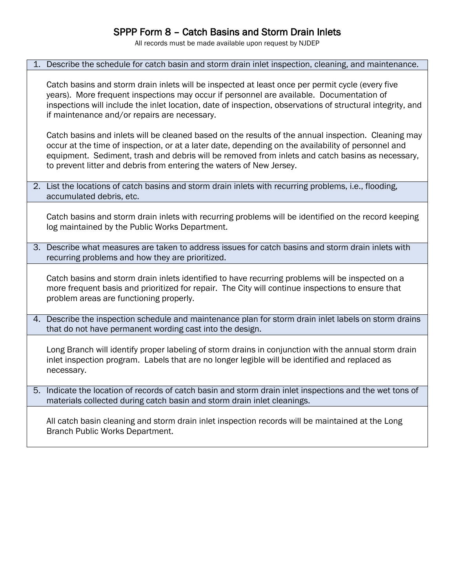## SPPP Form 8 – Catch Basins and Storm Drain Inlets

|    | 1. Describe the schedule for catch basin and storm drain inlet inspection, cleaning, and maintenance.                                                                                                                                                                                                                                                                                  |
|----|----------------------------------------------------------------------------------------------------------------------------------------------------------------------------------------------------------------------------------------------------------------------------------------------------------------------------------------------------------------------------------------|
|    | Catch basins and storm drain inlets will be inspected at least once per permit cycle (every five<br>years). More frequent inspections may occur if personnel are available. Documentation of<br>inspections will include the inlet location, date of inspection, observations of structural integrity, and<br>if maintenance and/or repairs are necessary.                             |
|    | Catch basins and inlets will be cleaned based on the results of the annual inspection. Cleaning may<br>occur at the time of inspection, or at a later date, depending on the availability of personnel and<br>equipment. Sediment, trash and debris will be removed from inlets and catch basins as necessary,<br>to prevent litter and debris from entering the waters of New Jersey. |
|    | 2. List the locations of catch basins and storm drain inlets with recurring problems, i.e., flooding,<br>accumulated debris, etc.                                                                                                                                                                                                                                                      |
|    | Catch basins and storm drain inlets with recurring problems will be identified on the record keeping<br>log maintained by the Public Works Department.                                                                                                                                                                                                                                 |
| 3. | Describe what measures are taken to address issues for catch basins and storm drain inlets with<br>recurring problems and how they are prioritized.                                                                                                                                                                                                                                    |
|    | Catch basins and storm drain inlets identified to have recurring problems will be inspected on a<br>more frequent basis and prioritized for repair. The City will continue inspections to ensure that<br>problem areas are functioning properly.                                                                                                                                       |
|    | 4. Describe the inspection schedule and maintenance plan for storm drain inlet labels on storm drains<br>that do not have permanent wording cast into the design.                                                                                                                                                                                                                      |
|    | Long Branch will identify proper labeling of storm drains in conjunction with the annual storm drain<br>inlet inspection program. Labels that are no longer legible will be identified and replaced as<br>necessary.                                                                                                                                                                   |
| 5. | Indicate the location of records of catch basin and storm drain inlet inspections and the wet tons of<br>materials collected during catch basin and storm drain inlet cleanings.                                                                                                                                                                                                       |
|    | All catch basin cleaning and storm drain inlet inspection records will be maintained at the Long<br>Branch Public Works Department.                                                                                                                                                                                                                                                    |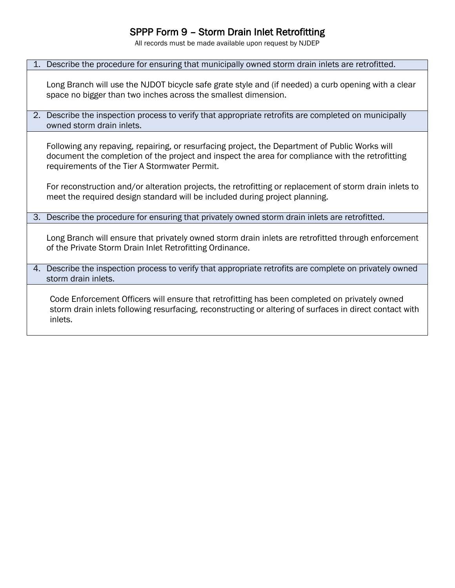## SPPP Form 9 – Storm Drain Inlet Retrofitting

All records must be made available upon request by NJDEP

#### 1. Describe the procedure for ensuring that municipally owned storm drain inlets are retrofitted.

Long Branch will use the NJDOT bicycle safe grate style and (if needed) a curb opening with a clear space no bigger than two inches across the smallest dimension.

2. Describe the inspection process to verify that appropriate retrofits are completed on municipally owned storm drain inlets.

Following any repaving, repairing, or resurfacing project, the Department of Public Works will document the completion of the project and inspect the area for compliance with the retrofitting requirements of the Tier A Stormwater Permit.

For reconstruction and/or alteration projects, the retrofitting or replacement of storm drain inlets to meet the required design standard will be included during project planning.

#### 3. Describe the procedure for ensuring that privately owned storm drain inlets are retrofitted.

Long Branch will ensure that privately owned storm drain inlets are retrofitted through enforcement of the Private Storm Drain Inlet Retrofitting Ordinance.

4. Describe the inspection process to verify that appropriate retrofits are complete on privately owned storm drain inlets.

Code Enforcement Officers will ensure that retrofitting has been completed on privately owned storm drain inlets following resurfacing, reconstructing or altering of surfaces in direct contact with inlets.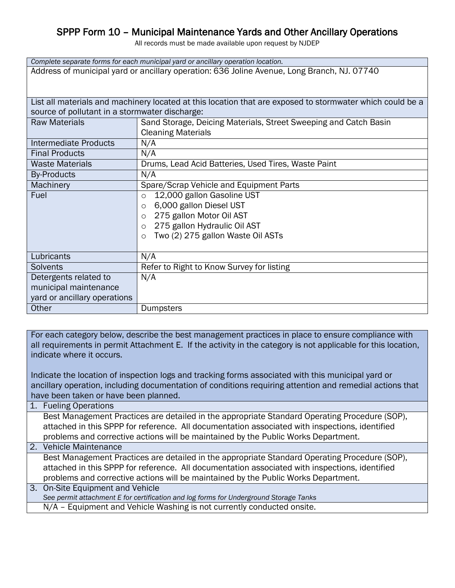## SPPP Form 10 – Municipal Maintenance Yards and Other Ancillary Operations

All records must be made available upon request by NJDEP

| Complete separate forms for each municipal yard or ancillary operation location.            |                                                                                                           |  |  |
|---------------------------------------------------------------------------------------------|-----------------------------------------------------------------------------------------------------------|--|--|
| Address of municipal yard or ancillary operation: 636 Joline Avenue, Long Branch, NJ. 07740 |                                                                                                           |  |  |
|                                                                                             |                                                                                                           |  |  |
|                                                                                             |                                                                                                           |  |  |
|                                                                                             | List all materials and machinery located at this location that are exposed to stormwater which could be a |  |  |
| source of pollutant in a stormwater discharge:                                              |                                                                                                           |  |  |
| <b>Raw Materials</b>                                                                        | Sand Storage, Deicing Materials, Street Sweeping and Catch Basin                                          |  |  |
|                                                                                             | <b>Cleaning Materials</b>                                                                                 |  |  |
| <b>Intermediate Products</b>                                                                | N/A                                                                                                       |  |  |
| <b>Final Products</b><br>N/A                                                                |                                                                                                           |  |  |
| Drums, Lead Acid Batteries, Used Tires, Waste Paint<br><b>Waste Materials</b>               |                                                                                                           |  |  |
| <b>By-Products</b>                                                                          | N/A                                                                                                       |  |  |
| Machinery                                                                                   | Spare/Scrap Vehicle and Equipment Parts                                                                   |  |  |
| Fuel                                                                                        | 12,000 gallon Gasoline UST<br>$\circ$                                                                     |  |  |
| 6,000 gallon Diesel UST<br>$\circ$                                                          |                                                                                                           |  |  |
|                                                                                             | 275 gallon Motor Oil AST<br>$\circ$                                                                       |  |  |
|                                                                                             | 275 gallon Hydraulic Oil AST<br>$\circ$                                                                   |  |  |
| Two (2) 275 gallon Waste Oil ASTs<br>$\circ$                                                |                                                                                                           |  |  |
|                                                                                             |                                                                                                           |  |  |
| N/A<br>Lubricants                                                                           |                                                                                                           |  |  |
| Solvents                                                                                    | Refer to Right to Know Survey for listing                                                                 |  |  |
| N/A<br>Detergents related to                                                                |                                                                                                           |  |  |
| municipal maintenance                                                                       |                                                                                                           |  |  |
| yard or ancillary operations                                                                |                                                                                                           |  |  |
| Other<br><b>Dumpsters</b>                                                                   |                                                                                                           |  |  |

For each category below, describe the best management practices in place to ensure compliance with all requirements in permit Attachment E. If the activity in the category is not applicable for this location, indicate where it occurs.

Indicate the location of inspection logs and tracking forms associated with this municipal yard or ancillary operation, including documentation of conditions requiring attention and remedial actions that have been taken or have been planned.

1. Fueling Operations

Best Management Practices are detailed in the appropriate Standard Operating Procedure (SOP), attached in this SPPP for reference. All documentation associated with inspections, identified problems and corrective actions will be maintained by the Public Works Department.

2. Vehicle Maintenance

Best Management Practices are detailed in the appropriate Standard Operating Procedure (SOP), attached in this SPPP for reference. All documentation associated with inspections, identified problems and corrective actions will be maintained by the Public Works Department.

3. On-Site Equipment and Vehicle *See permit attachment E for certification and log forms for Underground Storage Tanks* N/A – Equipment and Vehicle Washing is not currently conducted onsite.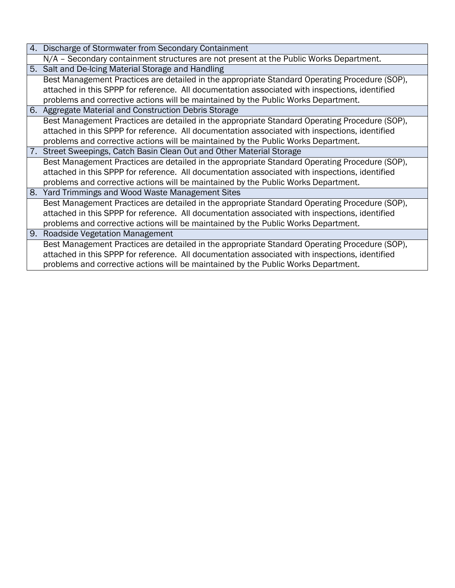|  | 4. Discharge of Stormwater from Secondary Containment |  |
|--|-------------------------------------------------------|--|
|--|-------------------------------------------------------|--|

- N/A Secondary containment structures are not present at the Public Works Department.
- 5. Salt and De-Icing Material Storage and Handling Best Management Practices are detailed in the appropriate Standard Operating Procedure (SOP),

attached in this SPPP for reference. All documentation associated with inspections, identified problems and corrective actions will be maintained by the Public Works Department.

- 6. Aggregate Material and Construction Debris Storage Best Management Practices are detailed in the appropriate Standard Operating Procedure (SOP), attached in this SPPP for reference. All documentation associated with inspections, identified problems and corrective actions will be maintained by the Public Works Department.
- 7. Street Sweepings, Catch Basin Clean Out and Other Material Storage

Best Management Practices are detailed in the appropriate Standard Operating Procedure (SOP), attached in this SPPP for reference. All documentation associated with inspections, identified problems and corrective actions will be maintained by the Public Works Department.

8. Yard Trimmings and Wood Waste Management Sites

Best Management Practices are detailed in the appropriate Standard Operating Procedure (SOP), attached in this SPPP for reference. All documentation associated with inspections, identified problems and corrective actions will be maintained by the Public Works Department.

9. Roadside Vegetation Management Best Management Practices are detailed in the appropriate Standard Operating Procedure (SOP), attached in this SPPP for reference. All documentation associated with inspections, identified problems and corrective actions will be maintained by the Public Works Department.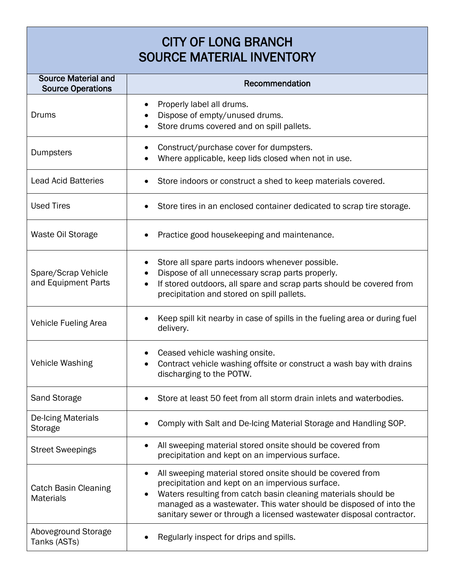# CITY OF LONG BRANCH SOURCE MATERIAL INVENTORY

| <b>Source Material and</b><br><b>Source Operations</b> | Recommendation                                                                                                                                                                                                                                                                                                                 |
|--------------------------------------------------------|--------------------------------------------------------------------------------------------------------------------------------------------------------------------------------------------------------------------------------------------------------------------------------------------------------------------------------|
| Drums                                                  | Properly label all drums.<br>Dispose of empty/unused drums.<br>Store drums covered and on spill pallets.                                                                                                                                                                                                                       |
| Dumpsters                                              | Construct/purchase cover for dumpsters.<br>Where applicable, keep lids closed when not in use.                                                                                                                                                                                                                                 |
| <b>Lead Acid Batteries</b>                             | Store indoors or construct a shed to keep materials covered.                                                                                                                                                                                                                                                                   |
| <b>Used Tires</b>                                      | Store tires in an enclosed container dedicated to scrap tire storage.                                                                                                                                                                                                                                                          |
| Waste Oil Storage                                      | Practice good housekeeping and maintenance.                                                                                                                                                                                                                                                                                    |
| Spare/Scrap Vehicle<br>and Equipment Parts             | Store all spare parts indoors whenever possible.<br>Dispose of all unnecessary scrap parts properly.<br>If stored outdoors, all spare and scrap parts should be covered from<br>precipitation and stored on spill pallets.                                                                                                     |
| <b>Vehicle Fueling Area</b>                            | Keep spill kit nearby in case of spills in the fueling area or during fuel<br>delivery.                                                                                                                                                                                                                                        |
| Vehicle Washing                                        | Ceased vehicle washing onsite.<br>Contract vehicle washing offsite or construct a wash bay with drains<br>discharging to the POTW.                                                                                                                                                                                             |
| <b>Sand Storage</b>                                    | Store at least 50 feet from all storm drain inlets and waterbodies.                                                                                                                                                                                                                                                            |
| De-Icing Materials<br>Storage                          | Comply with Salt and De-Icing Material Storage and Handling SOP.                                                                                                                                                                                                                                                               |
| <b>Street Sweepings</b>                                | All sweeping material stored onsite should be covered from<br>precipitation and kept on an impervious surface.                                                                                                                                                                                                                 |
| <b>Catch Basin Cleaning</b><br><b>Materials</b>        | All sweeping material stored onsite should be covered from<br>precipitation and kept on an impervious surface.<br>Waters resulting from catch basin cleaning materials should be<br>managed as a wastewater. This water should be disposed of into the<br>sanitary sewer or through a licensed wastewater disposal contractor. |
| Aboveground Storage<br>Tanks (ASTs)                    | Regularly inspect for drips and spills.                                                                                                                                                                                                                                                                                        |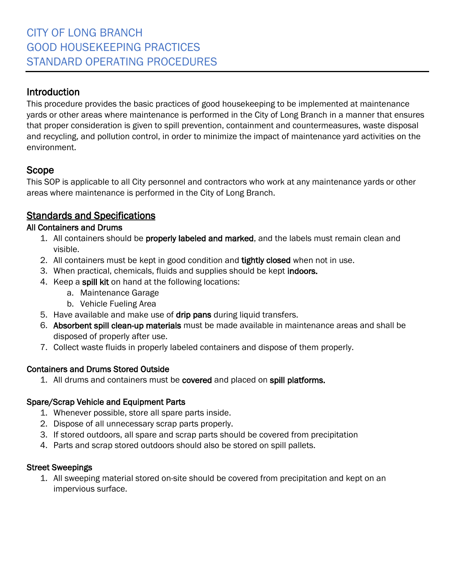This procedure provides the basic practices of good housekeeping to be implemented at maintenance yards or other areas where maintenance is performed in the City of Long Branch in a manner that ensures that proper consideration is given to spill prevention, containment and countermeasures, waste disposal and recycling, and pollution control, in order to minimize the impact of maintenance yard activities on the environment.

## Scope

This SOP is applicable to all City personnel and contractors who work at any maintenance yards or other areas where maintenance is performed in the City of Long Branch.

## Standards and Specifications

#### All Containers and Drums

- 1. All containers should be properly labeled and marked, and the labels must remain clean and visible.
- 2. All containers must be kept in good condition and tightly closed when not in use.
- 3. When practical, chemicals, fluids and supplies should be kept indoors.
- 4. Keep a spill kit on hand at the following locations:
	- a. Maintenance Garage
	- b. Vehicle Fueling Area
- 5. Have available and make use of drip pans during liquid transfers.
- 6. Absorbent spill clean-up materials must be made available in maintenance areas and shall be disposed of properly after use.
- 7. Collect waste fluids in properly labeled containers and dispose of them properly.

#### Containers and Drums Stored Outside

1. All drums and containers must be covered and placed on spill platforms.

#### Spare/Scrap Vehicle and Equipment Parts

- 1. Whenever possible, store all spare parts inside.
- 2. Dispose of all unnecessary scrap parts properly.
- 3. If stored outdoors, all spare and scrap parts should be covered from precipitation
- 4. Parts and scrap stored outdoors should also be stored on spill pallets.

#### Street Sweepings

1. All sweeping material stored on-site should be covered from precipitation and kept on an impervious surface.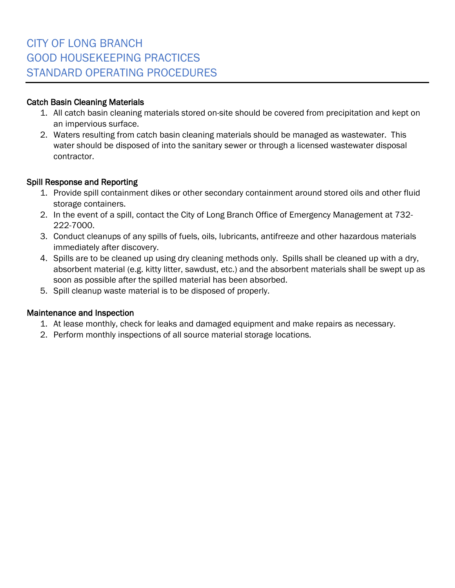#### Catch Basin Cleaning Materials

- 1. All catch basin cleaning materials stored on-site should be covered from precipitation and kept on an impervious surface.
- 2. Waters resulting from catch basin cleaning materials should be managed as wastewater. This water should be disposed of into the sanitary sewer or through a licensed wastewater disposal contractor.

#### Spill Response and Reporting

- 1. Provide spill containment dikes or other secondary containment around stored oils and other fluid storage containers.
- 2. In the event of a spill, contact the City of Long Branch Office of Emergency Management at 732- 222-7000.
- 3. Conduct cleanups of any spills of fuels, oils, lubricants, antifreeze and other hazardous materials immediately after discovery.
- 4. Spills are to be cleaned up using dry cleaning methods only. Spills shall be cleaned up with a dry, absorbent material (e.g. kitty litter, sawdust, etc.) and the absorbent materials shall be swept up as soon as possible after the spilled material has been absorbed.
- 5. Spill cleanup waste material is to be disposed of properly.

#### Maintenance and Inspection

- 1. At lease monthly, check for leaks and damaged equipment and make repairs as necessary.
- 2. Perform monthly inspections of all source material storage locations.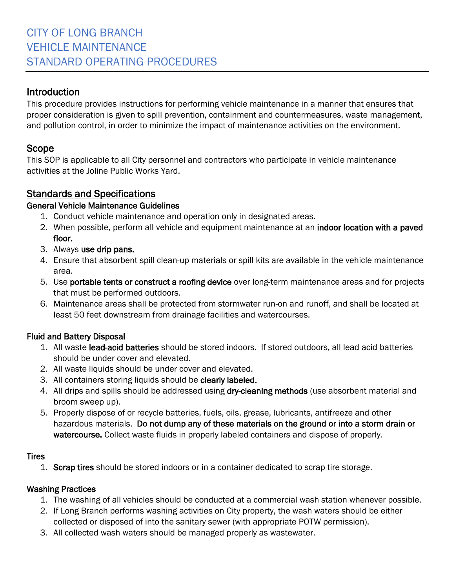This procedure provides instructions for performing vehicle maintenance in a manner that ensures that proper consideration is given to spill prevention, containment and countermeasures, waste management, and pollution control, in order to minimize the impact of maintenance activities on the environment.

## Scope

This SOP is applicable to all City personnel and contractors who participate in vehicle maintenance activities at the Joline Public Works Yard.

## Standards and Specifications

#### General Vehicle Maintenance Guidelines

- 1. Conduct vehicle maintenance and operation only in designated areas.
- 2. When possible, perform all vehicle and equipment maintenance at an indoor location with a paved floor.
- 3. Always use drip pans.
- 4. Ensure that absorbent spill clean-up materials or spill kits are available in the vehicle maintenance area.
- 5. Use portable tents or construct a roofing device over long-term maintenance areas and for projects that must be performed outdoors.
- 6. Maintenance areas shall be protected from stormwater run-on and runoff, and shall be located at least 50 feet downstream from drainage facilities and watercourses.

#### Fluid and Battery Disposal

- 1. All waste lead-acid batteries should be stored indoors. If stored outdoors, all lead acid batteries should be under cover and elevated.
- 2. All waste liquids should be under cover and elevated.
- 3. All containers storing liquids should be clearly labeled.
- 4. All drips and spills should be addressed using dry-cleaning methods (use absorbent material and broom sweep up).
- 5. Properly dispose of or recycle batteries, fuels, oils, grease, lubricants, antifreeze and other hazardous materials. Do not dump any of these materials on the ground or into a storm drain or watercourse. Collect waste fluids in properly labeled containers and dispose of properly.

#### Tires

1. Scrap tires should be stored indoors or in a container dedicated to scrap tire storage.

#### Washing Practices

- 1. The washing of all vehicles should be conducted at a commercial wash station whenever possible.
- 2. If Long Branch performs washing activities on City property, the wash waters should be either collected or disposed of into the sanitary sewer (with appropriate POTW permission).
- 3. All collected wash waters should be managed properly as wastewater.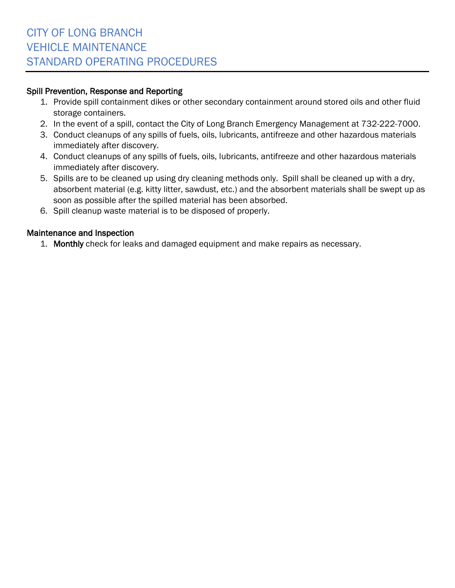#### Spill Prevention, Response and Reporting

- 1. Provide spill containment dikes or other secondary containment around stored oils and other fluid storage containers.
- 2. In the event of a spill, contact the City of Long Branch Emergency Management at 732-222-7000.
- 3. Conduct cleanups of any spills of fuels, oils, lubricants, antifreeze and other hazardous materials immediately after discovery.
- 4. Conduct cleanups of any spills of fuels, oils, lubricants, antifreeze and other hazardous materials immediately after discovery.
- 5. Spills are to be cleaned up using dry cleaning methods only. Spill shall be cleaned up with a dry, absorbent material (e.g. kitty litter, sawdust, etc.) and the absorbent materials shall be swept up as soon as possible after the spilled material has been absorbed.
- 6. Spill cleanup waste material is to be disposed of properly.

#### Maintenance and Inspection

1. Monthly check for leaks and damaged equipment and make repairs as necessary.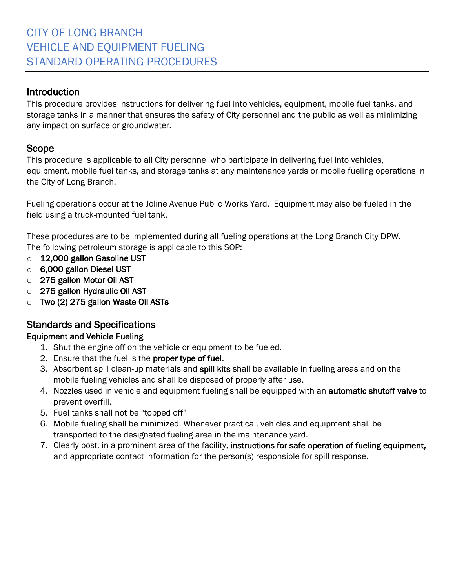This procedure provides instructions for delivering fuel into vehicles, equipment, mobile fuel tanks, and storage tanks in a manner that ensures the safety of City personnel and the public as well as minimizing any impact on surface or groundwater.

## Scope

This procedure is applicable to all City personnel who participate in delivering fuel into vehicles, equipment, mobile fuel tanks, and storage tanks at any maintenance yards or mobile fueling operations in the City of Long Branch.

Fueling operations occur at the Joline Avenue Public Works Yard. Equipment may also be fueled in the field using a truck-mounted fuel tank.

These procedures are to be implemented during all fueling operations at the Long Branch City DPW. The following petroleum storage is applicable to this SOP:

- o 12,000 gallon Gasoline UST
- o 6,000 gallon Diesel UST
- o 275 gallon Motor Oil AST
- $\circ$  275 gallon Hydraulic Oil AST
- $\circ$  Two (2) 275 gallon Waste Oil ASTs

## Standards and Specifications

#### Equipment and Vehicle Fueling

- 1. Shut the engine off on the vehicle or equipment to be fueled.
- 2. Ensure that the fuel is the proper type of fuel.
- 3. Absorbent spill clean-up materials and spill kits shall be available in fueling areas and on the mobile fueling vehicles and shall be disposed of properly after use.
- 4. Nozzles used in vehicle and equipment fueling shall be equipped with an **automatic shutoff valve** to prevent overfill.
- 5. Fuel tanks shall not be "topped off"
- 6. Mobile fueling shall be minimized. Whenever practical, vehicles and equipment shall be transported to the designated fueling area in the maintenance yard.
- 7. Clearly post, in a prominent area of the facility, instructions for safe operation of fueling equipment, and appropriate contact information for the person(s) responsible for spill response.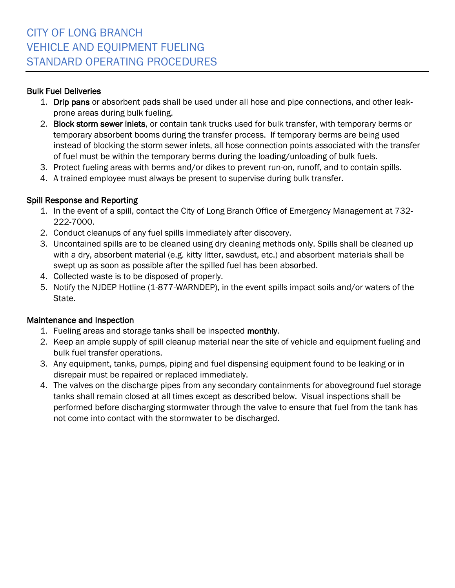#### Bulk Fuel Deliveries

- 1. Drip pans or absorbent pads shall be used under all hose and pipe connections, and other leakprone areas during bulk fueling.
- 2. Block storm sewer inlets, or contain tank trucks used for bulk transfer, with temporary berms or temporary absorbent booms during the transfer process. If temporary berms are being used instead of blocking the storm sewer inlets, all hose connection points associated with the transfer of fuel must be within the temporary berms during the loading/unloading of bulk fuels.
- 3. Protect fueling areas with berms and/or dikes to prevent run-on, runoff, and to contain spills.
- 4. A trained employee must always be present to supervise during bulk transfer.

#### Spill Response and Reporting

- 1. In the event of a spill, contact the City of Long Branch Office of Emergency Management at 732- 222-7000.
- 2. Conduct cleanups of any fuel spills immediately after discovery.
- 3. Uncontained spills are to be cleaned using dry cleaning methods only. Spills shall be cleaned up with a dry, absorbent material (e.g. kitty litter, sawdust, etc.) and absorbent materials shall be swept up as soon as possible after the spilled fuel has been absorbed.
- 4. Collected waste is to be disposed of properly.
- 5. Notify the NJDEP Hotline (1-877-WARNDEP), in the event spills impact soils and/or waters of the State.

#### Maintenance and Inspection

- 1. Fueling areas and storage tanks shall be inspected monthly.
- 2. Keep an ample supply of spill cleanup material near the site of vehicle and equipment fueling and bulk fuel transfer operations.
- 3. Any equipment, tanks, pumps, piping and fuel dispensing equipment found to be leaking or in disrepair must be repaired or replaced immediately.
- 4. The valves on the discharge pipes from any secondary containments for aboveground fuel storage tanks shall remain closed at all times except as described below. Visual inspections shall be performed before discharging stormwater through the valve to ensure that fuel from the tank has not come into contact with the stormwater to be discharged.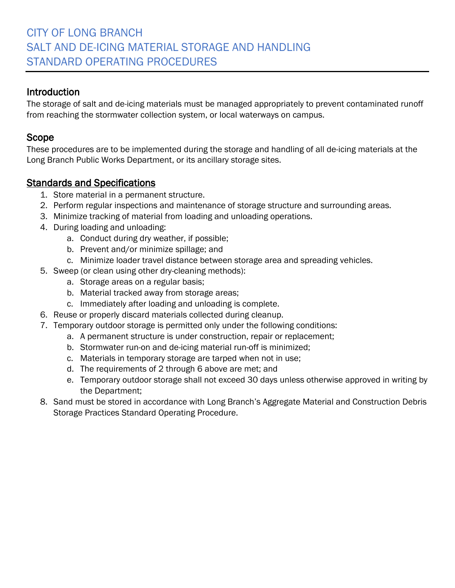# CITY OF LONG BRANCH SALT AND DE-ICING MATERIAL STORAGE AND HANDLING STANDARD OPERATING PROCEDURES

#### Introduction

The storage of salt and de-icing materials must be managed appropriately to prevent contaminated runoff from reaching the stormwater collection system, or local waterways on campus.

#### Scope

These procedures are to be implemented during the storage and handling of all de-icing materials at the Long Branch Public Works Department, or its ancillary storage sites.

- 1. Store material in a permanent structure.
- 2. Perform regular inspections and maintenance of storage structure and surrounding areas.
- 3. Minimize tracking of material from loading and unloading operations.
- 4. During loading and unloading:
	- a. Conduct during dry weather, if possible;
	- b. Prevent and/or minimize spillage; and
	- c. Minimize loader travel distance between storage area and spreading vehicles.
- 5. Sweep (or clean using other dry-cleaning methods):
	- a. Storage areas on a regular basis;
	- b. Material tracked away from storage areas;
	- c. Immediately after loading and unloading is complete.
- 6. Reuse or properly discard materials collected during cleanup.
- 7. Temporary outdoor storage is permitted only under the following conditions:
	- a. A permanent structure is under construction, repair or replacement;
		- b. Stormwater run-on and de-icing material run-off is minimized;
		- c. Materials in temporary storage are tarped when not in use;
		- d. The requirements of 2 through 6 above are met; and
		- e. Temporary outdoor storage shall not exceed 30 days unless otherwise approved in writing by the Department;
- 8. Sand must be stored in accordance with Long Branch's Aggregate Material and Construction Debris Storage Practices Standard Operating Procedure.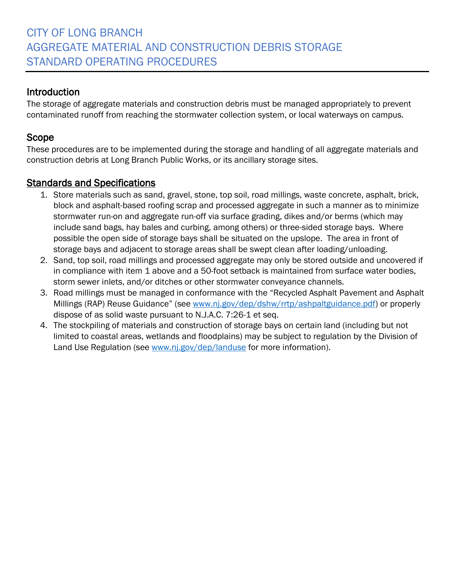The storage of aggregate materials and construction debris must be managed appropriately to prevent contaminated runoff from reaching the stormwater collection system, or local waterways on campus.

## Scope

These procedures are to be implemented during the storage and handling of all aggregate materials and construction debris at Long Branch Public Works, or its ancillary storage sites.

- 1. Store materials such as sand, gravel, stone, top soil, road millings, waste concrete, asphalt, brick, block and asphalt-based roofing scrap and processed aggregate in such a manner as to minimize stormwater run-on and aggregate run-off via surface grading, dikes and/or berms (which may include sand bags, hay bales and curbing, among others) or three-sided storage bays. Where possible the open side of storage bays shall be situated on the upslope. The area in front of storage bays and adjacent to storage areas shall be swept clean after loading/unloading.
- 2. Sand, top soil, road millings and processed aggregate may only be stored outside and uncovered if in compliance with item 1 above and a 50-foot setback is maintained from surface water bodies, storm sewer inlets, and/or ditches or other stormwater conveyance channels.
- 3. Road millings must be managed in conformance with the "Recycled Asphalt Pavement and Asphalt Millings (RAP) Reuse Guidance" (see [www.nj.gov/dep/dshw/rrtp/ashpaltguidance.pdf\)](http://www.nj.gov/dep/dshw/rrtp/ashpaltguidance.pdf) or properly dispose of as solid waste pursuant to N.J.A.C. 7:26-1 et seq.
- 4. The stockpiling of materials and construction of storage bays on certain land (including but not limited to coastal areas, wetlands and floodplains) may be subject to regulation by the Division of Land Use Regulation (see [www.nj.gov/dep/landuse](http://www.nj.gov/dep/landuse) for more information).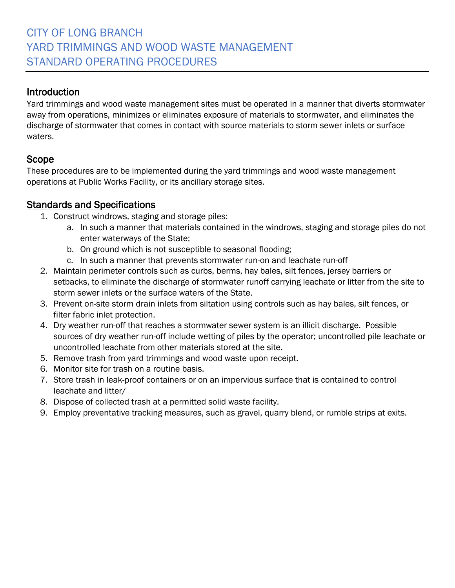Yard trimmings and wood waste management sites must be operated in a manner that diverts stormwater away from operations, minimizes or eliminates exposure of materials to stormwater, and eliminates the discharge of stormwater that comes in contact with source materials to storm sewer inlets or surface waters.

## Scope

These procedures are to be implemented during the yard trimmings and wood waste management operations at Public Works Facility, or its ancillary storage sites.

- 1. Construct windrows, staging and storage piles:
	- a. In such a manner that materials contained in the windrows, staging and storage piles do not enter waterways of the State;
	- b. On ground which is not susceptible to seasonal flooding;
	- c. In such a manner that prevents stormwater run-on and leachate run-off
- 2. Maintain perimeter controls such as curbs, berms, hay bales, silt fences, jersey barriers or setbacks, to eliminate the discharge of stormwater runoff carrying leachate or litter from the site to storm sewer inlets or the surface waters of the State.
- 3. Prevent on-site storm drain inlets from siltation using controls such as hay bales, silt fences, or filter fabric inlet protection.
- 4. Dry weather run-off that reaches a stormwater sewer system is an illicit discharge. Possible sources of dry weather run-off include wetting of piles by the operator; uncontrolled pile leachate or uncontrolled leachate from other materials stored at the site.
- 5. Remove trash from yard trimmings and wood waste upon receipt.
- 6. Monitor site for trash on a routine basis.
- 7. Store trash in leak-proof containers or on an impervious surface that is contained to control leachate and litter/
- 8. Dispose of collected trash at a permitted solid waste facility.
- 9. Employ preventative tracking measures, such as gravel, quarry blend, or rumble strips at exits.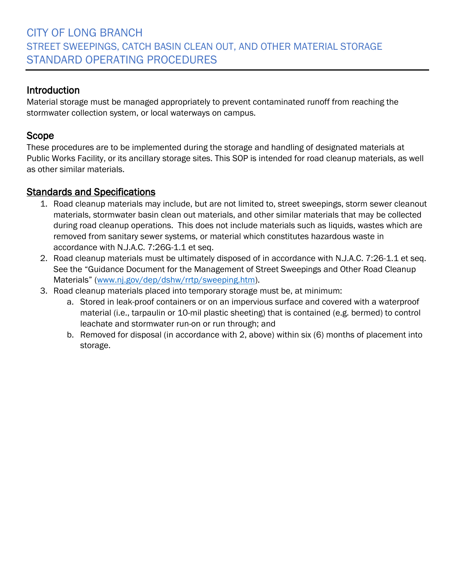Material storage must be managed appropriately to prevent contaminated runoff from reaching the stormwater collection system, or local waterways on campus.

## Scope

These procedures are to be implemented during the storage and handling of designated materials at Public Works Facility, or its ancillary storage sites. This SOP is intended for road cleanup materials, as well as other similar materials.

- 1. Road cleanup materials may include, but are not limited to, street sweepings, storm sewer cleanout materials, stormwater basin clean out materials, and other similar materials that may be collected during road cleanup operations. This does not include materials such as liquids, wastes which are removed from sanitary sewer systems, or material which constitutes hazardous waste in accordance with N.J.A.C. 7:26G-1.1 et seq.
- 2. Road cleanup materials must be ultimately disposed of in accordance with N.J.A.C. 7:26-1.1 et seq. See the "Guidance Document for the Management of Street Sweepings and Other Road Cleanup Materials" ([www.nj.gov/dep/dshw/rrtp/sweeping.htm\)](http://www.nj.gov/dep/dshw/rrtp/sweeping.htm).
- 3. Road cleanup materials placed into temporary storage must be, at minimum:
	- a. Stored in leak-proof containers or on an impervious surface and covered with a waterproof material (i.e., tarpaulin or 10-mil plastic sheeting) that is contained (e.g. bermed) to control leachate and stormwater run-on or run through; and
	- b. Removed for disposal (in accordance with 2, above) within six (6) months of placement into storage.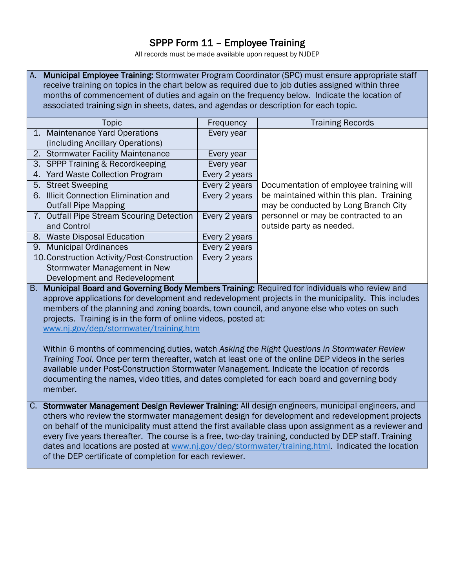#### SPPP Form 11 – Employee Training

All records must be made available upon request by NJDEP

A. Municipal Employee Training: Stormwater Program Coordinator (SPC) must ensure appropriate staff receive training on topics in the chart below as required due to job duties assigned within three months of commencement of duties and again on the frequency below. Indicate the location of associated training sign in sheets, dates, and agendas or description for each topic.

| Topic                                       | Frequency     | <b>Training Records</b>                  |
|---------------------------------------------|---------------|------------------------------------------|
| 1. Maintenance Yard Operations              | Every year    |                                          |
| (including Ancillary Operations)            |               |                                          |
| 2. Stormwater Facility Maintenance          | Every year    |                                          |
| 3. SPPP Training & Recordkeeping            | Every year    |                                          |
| 4. Yard Waste Collection Program            | Every 2 years |                                          |
| 5. Street Sweeping                          | Every 2 years | Documentation of employee training will  |
| 6. Illicit Connection Elimination and       | Every 2 years | be maintained within this plan. Training |
| <b>Outfall Pipe Mapping</b>                 |               | may be conducted by Long Branch City     |
| 7. Outfall Pipe Stream Scouring Detection   | Every 2 years | personnel or may be contracted to an     |
| and Control                                 |               | outside party as needed.                 |
| 8. Waste Disposal Education                 | Every 2 years |                                          |
| 9. Municipal Ordinances                     | Every 2 years |                                          |
| 10. Construction Activity/Post-Construction | Every 2 years |                                          |
| Stormwater Management in New                |               |                                          |
| Development and Redevelopment               |               |                                          |

B. Municipal Board and Governing Body Members Training: Required for individuals who review and approve applications for development and redevelopment projects in the municipality. This includes members of the planning and zoning boards, town council, and anyone else who votes on such projects. Training is in the form of online videos, posted at: [www.nj.gov/dep/stormwater/training.htm](http://www.nj.gov/dep/stormwater/training.htm)

Within 6 months of commencing duties, watch *Asking the Right Questions in Stormwater Review Training Tool.* Once per term thereafter, watch at least one of the online DEP videos in the series available under Post-Construction Stormwater Management. Indicate the location of records documenting the names, video titles, and dates completed for each board and governing body member.

C. Stormwater Management Design Reviewer Training: All design engineers, municipal engineers, and others who review the stormwater management design for development and redevelopment projects on behalf of the municipality must attend the first available class upon assignment as a reviewer and every five years thereafter. The course is a free, two-day training, conducted by DEP staff. Training dates and locations are posted at [www.nj.gov/dep/stormwater/training.html.](http://www.nj.gov/dep/stormwater/training.html) Indicated the location of the DEP certificate of completion for each reviewer.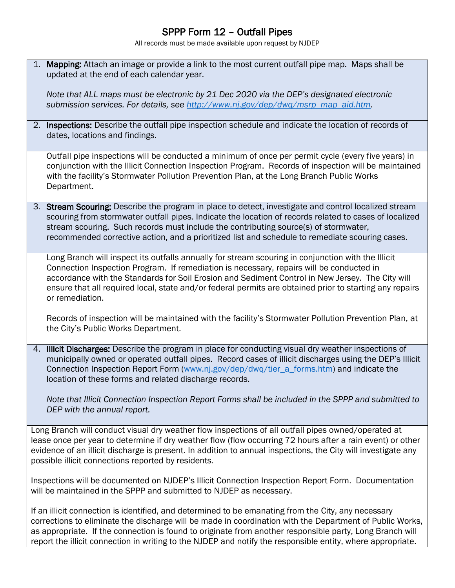## SPPP Form 12 – Outfall Pipes

All records must be made available upon request by NJDEP

1. Mapping: Attach an image or provide a link to the most current outfall pipe map. Maps shall be updated at the end of each calendar year.

*Note that ALL maps must be electronic by 21 Dec 2020 via the DEP's designated electronic submission services. For details, see [http://www.nj.gov/dep/dwq/msrp\\_map\\_aid.htm.](http://www.nj.gov/dep/dwq/msrp_map_aid.htm)*

2. Inspections: Describe the outfall pipe inspection schedule and indicate the location of records of dates, locations and findings.

Outfall pipe inspections will be conducted a minimum of once per permit cycle (every five years) in conjunction with the Illicit Connection Inspection Program. Records of inspection will be maintained with the facility's Stormwater Pollution Prevention Plan, at the Long Branch Public Works Department.

3. Stream Scouring: Describe the program in place to detect, investigate and control localized stream scouring from stormwater outfall pipes. Indicate the location of records related to cases of localized stream scouring. Such records must include the contributing source(s) of stormwater, recommended corrective action, and a prioritized list and schedule to remediate scouring cases.

Long Branch will inspect its outfalls annually for stream scouring in conjunction with the Illicit Connection Inspection Program. If remediation is necessary, repairs will be conducted in accordance with the Standards for Soil Erosion and Sediment Control in New Jersey. The City will ensure that all required local, state and/or federal permits are obtained prior to starting any repairs or remediation.

Records of inspection will be maintained with the facility's Stormwater Pollution Prevention Plan, at the City's Public Works Department.

4. Illicit Discharges: Describe the program in place for conducting visual dry weather inspections of municipally owned or operated outfall pipes. Record cases of illicit discharges using the DEP's Illicit Connection Inspection Report Form [\(www.nj.gov/dep/dwq/tier\\_a\\_forms.htm\)](http://www.nj.gov/dep/dwq/tier_a_forms.htm) and indicate the location of these forms and related discharge records.

*Note that Illicit Connection Inspection Report Forms shall be included in the SPPP and submitted to DEP with the annual report.* 

Long Branch will conduct visual dry weather flow inspections of all outfall pipes owned/operated at lease once per year to determine if dry weather flow (flow occurring 72 hours after a rain event) or other evidence of an illicit discharge is present. In addition to annual inspections, the City will investigate any possible illicit connections reported by residents.

Inspections will be documented on NJDEP's Illicit Connection Inspection Report Form. Documentation will be maintained in the SPPP and submitted to NJDEP as necessary.

If an illicit connection is identified, and determined to be emanating from the City, any necessary corrections to eliminate the discharge will be made in coordination with the Department of Public Works, as appropriate. If the connection is found to originate from another responsible party, Long Branch will report the illicit connection in writing to the NJDEP and notify the responsible entity, where appropriate.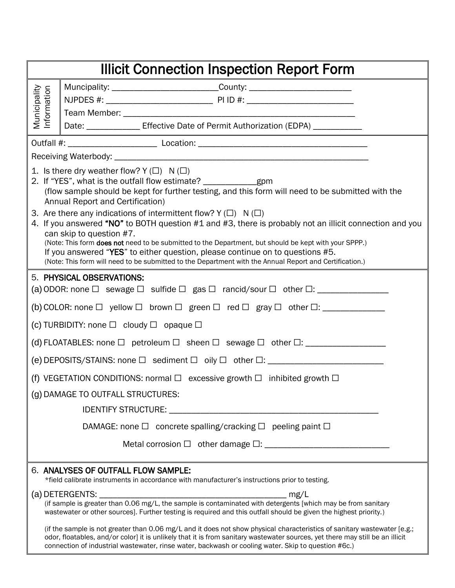| <b>Illicit Connection Inspection Report Form</b> |                                                                                                                                                                                                                                                                                                                                                                                                                                                                                                                      |  |  |  |
|--------------------------------------------------|----------------------------------------------------------------------------------------------------------------------------------------------------------------------------------------------------------------------------------------------------------------------------------------------------------------------------------------------------------------------------------------------------------------------------------------------------------------------------------------------------------------------|--|--|--|
|                                                  | Muncipality: _________________________________County: __________________________                                                                                                                                                                                                                                                                                                                                                                                                                                     |  |  |  |
| Municipality<br>Information                      |                                                                                                                                                                                                                                                                                                                                                                                                                                                                                                                      |  |  |  |
|                                                  |                                                                                                                                                                                                                                                                                                                                                                                                                                                                                                                      |  |  |  |
|                                                  | Date: ________________ Effective Date of Permit Authorization (EDPA) ___________                                                                                                                                                                                                                                                                                                                                                                                                                                     |  |  |  |
|                                                  |                                                                                                                                                                                                                                                                                                                                                                                                                                                                                                                      |  |  |  |
|                                                  | 1. Is there dry weather flow? $Y(\Box)$ N( $\Box$ )<br>2. If "YES", what is the outfall flow estimate? _________________________________<br>(flow sample should be kept for further testing, and this form will need to be submitted with the<br>Annual Report and Certification)                                                                                                                                                                                                                                    |  |  |  |
|                                                  | 3. Are there any indications of intermittent flow? $Y(\Box)$ N( $\Box$ )<br>4. If you answered "NO" to BOTH question #1 and #3, there is probably not an illicit connection and you<br>can skip to question #7.<br>(Note: This form does not need to be submitted to the Department, but should be kept with your SPPP.)<br>If you answered "YES" to either question, please continue on to questions #5.<br>(Note: This form will need to be submitted to the Department with the Annual Report and Certification.) |  |  |  |
|                                                  | 5. PHYSICAL OBSERVATIONS:                                                                                                                                                                                                                                                                                                                                                                                                                                                                                            |  |  |  |
|                                                  | (b) COLOR: none $\Box$ yellow $\Box$ brown $\Box$ green $\Box$ red $\Box$ gray $\Box$ other $\Box$ : ______________                                                                                                                                                                                                                                                                                                                                                                                                  |  |  |  |
|                                                  | (c) TURBIDITY: none $\Box$ cloudy $\Box$ opaque $\Box$                                                                                                                                                                                                                                                                                                                                                                                                                                                               |  |  |  |
|                                                  |                                                                                                                                                                                                                                                                                                                                                                                                                                                                                                                      |  |  |  |
|                                                  | (e) DEPOSITS/STAINS: none □ sediment □ oily □ other □: _________________________                                                                                                                                                                                                                                                                                                                                                                                                                                     |  |  |  |
|                                                  | (f) VEGETATION CONDITIONS: normal $\Box$ excessive growth $\Box$ inhibited growth $\Box$                                                                                                                                                                                                                                                                                                                                                                                                                             |  |  |  |
|                                                  | (g) DAMAGE TO OUTFALL STRUCTURES:                                                                                                                                                                                                                                                                                                                                                                                                                                                                                    |  |  |  |
|                                                  | <b>IDENTIFY STRUCTURE:</b>                                                                                                                                                                                                                                                                                                                                                                                                                                                                                           |  |  |  |
|                                                  | DAMAGE: none $\Box$ concrete spalling/cracking $\Box$ peeling paint $\Box$                                                                                                                                                                                                                                                                                                                                                                                                                                           |  |  |  |
|                                                  |                                                                                                                                                                                                                                                                                                                                                                                                                                                                                                                      |  |  |  |
|                                                  | 6. ANALYSES OF OUTFALL FLOW SAMPLE:<br>*field calibrate instruments in accordance with manufacturer's instructions prior to testing.                                                                                                                                                                                                                                                                                                                                                                                 |  |  |  |
|                                                  | (a) DETERGENTS: _<br>(if sample is greater than 0.06 mg/L, the sample is contaminated with detergents [which may be from sanitary<br>wastewater or other sources]. Further testing is required and this outfall should be given the highest priority.)                                                                                                                                                                                                                                                               |  |  |  |
|                                                  | (if the sample is not greater than 0.06 mg/L and it does not show physical characteristics of sanitary wastewater [e.g.;<br>odor, floatables, and/or color] it is unlikely that it is from sanitary wastewater sources, yet there may still be an illicit<br>connection of industrial wastewater, rinse water, backwash or cooling water. Skip to question #6c.)                                                                                                                                                     |  |  |  |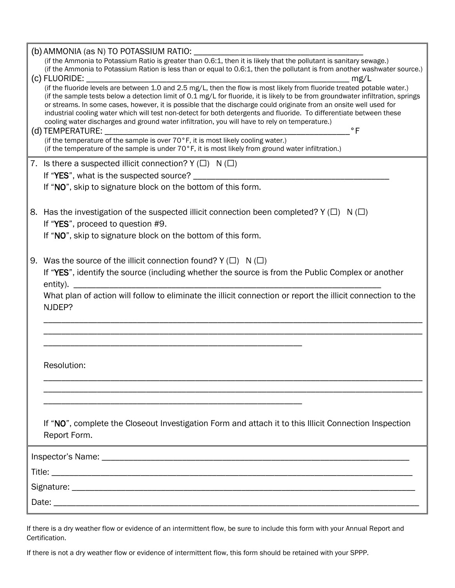| (b) AMMONIA (as N) TO POTASSIUM RATIO: __________                                                                                                                                                                                                                                                                                                                                                                                                                                                                                                                                                        |
|----------------------------------------------------------------------------------------------------------------------------------------------------------------------------------------------------------------------------------------------------------------------------------------------------------------------------------------------------------------------------------------------------------------------------------------------------------------------------------------------------------------------------------------------------------------------------------------------------------|
| (if the Ammonia to Potassium Ration is less than or equal to 0.6:1, then the pollutant is from another washwater source.)                                                                                                                                                                                                                                                                                                                                                                                                                                                                                |
|                                                                                                                                                                                                                                                                                                                                                                                                                                                                                                                                                                                                          |
| (if the sample tests below a detection limit of 0.1 mg/L for fluoride, it is likely to be from groundwater infiltration, springs<br>or streams. In some cases, however, it is possible that the discharge could originate from an onsite well used for<br>industrial cooling water which will test non-detect for both detergents and fluoride. To differentiate between these<br>cooling water discharges and ground water infiltration, you will have to rely on temperature.)<br>$\degree$ F<br>(d) TEMPERATURE:<br>(if the temperature of the sample is over 70°F, it is most likely cooling water.) |
| (if the temperature of the sample is under $70^{\circ}$ F, it is most likely from ground water infiltration.)                                                                                                                                                                                                                                                                                                                                                                                                                                                                                            |
| 7. Is there a suspected illicit connection? $Y(\Box)$ N( $\Box$ )                                                                                                                                                                                                                                                                                                                                                                                                                                                                                                                                        |
|                                                                                                                                                                                                                                                                                                                                                                                                                                                                                                                                                                                                          |
| If "NO", skip to signature block on the bottom of this form.                                                                                                                                                                                                                                                                                                                                                                                                                                                                                                                                             |
| 8. Has the investigation of the suspected illicit connection been completed? Y ( $\Box$ ) N ( $\Box$ )<br>If "YES", proceed to question #9.<br>If "NO", skip to signature block on the bottom of this form.                                                                                                                                                                                                                                                                                                                                                                                              |
|                                                                                                                                                                                                                                                                                                                                                                                                                                                                                                                                                                                                          |
| 9. Was the source of the illicit connection found? $Y(\Box) N(\Box)$                                                                                                                                                                                                                                                                                                                                                                                                                                                                                                                                     |
| If "YES", identify the source (including whether the source is from the Public Complex or another                                                                                                                                                                                                                                                                                                                                                                                                                                                                                                        |
| What plan of action will follow to eliminate the illicit connection or report the illicit connection to the<br>NJDEP?                                                                                                                                                                                                                                                                                                                                                                                                                                                                                    |
|                                                                                                                                                                                                                                                                                                                                                                                                                                                                                                                                                                                                          |
|                                                                                                                                                                                                                                                                                                                                                                                                                                                                                                                                                                                                          |
|                                                                                                                                                                                                                                                                                                                                                                                                                                                                                                                                                                                                          |
| Resolution:                                                                                                                                                                                                                                                                                                                                                                                                                                                                                                                                                                                              |
|                                                                                                                                                                                                                                                                                                                                                                                                                                                                                                                                                                                                          |
|                                                                                                                                                                                                                                                                                                                                                                                                                                                                                                                                                                                                          |
|                                                                                                                                                                                                                                                                                                                                                                                                                                                                                                                                                                                                          |
| If "NO", complete the Closeout Investigation Form and attach it to this Illicit Connection Inspection<br>Report Form.                                                                                                                                                                                                                                                                                                                                                                                                                                                                                    |
|                                                                                                                                                                                                                                                                                                                                                                                                                                                                                                                                                                                                          |
|                                                                                                                                                                                                                                                                                                                                                                                                                                                                                                                                                                                                          |
|                                                                                                                                                                                                                                                                                                                                                                                                                                                                                                                                                                                                          |
|                                                                                                                                                                                                                                                                                                                                                                                                                                                                                                                                                                                                          |
|                                                                                                                                                                                                                                                                                                                                                                                                                                                                                                                                                                                                          |
|                                                                                                                                                                                                                                                                                                                                                                                                                                                                                                                                                                                                          |

If there is a dry weather flow or evidence of an intermittent flow, be sure to include this form with your Annual Report and Certification.

If there is not a dry weather flow or evidence of intermittent flow, this form should be retained with your SPPP.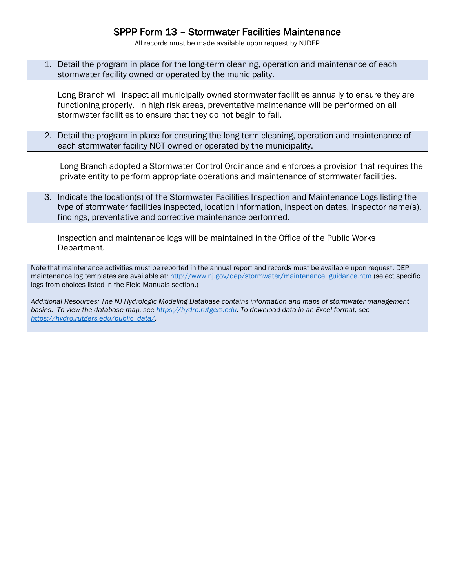## SPPP Form 13 – Stormwater Facilities Maintenance

All records must be made available upon request by NJDEP

| 1. Detail the program in place for the long-term cleaning, operation and maintenance of each<br>stormwater facility owned or operated by the municipality.                                                                                                                                                  |
|-------------------------------------------------------------------------------------------------------------------------------------------------------------------------------------------------------------------------------------------------------------------------------------------------------------|
| Long Branch will inspect all municipally owned stormwater facilities annually to ensure they are<br>functioning properly. In high risk areas, preventative maintenance will be performed on all<br>stormwater facilities to ensure that they do not begin to fail.                                          |
| 2. Detail the program in place for ensuring the long-term cleaning, operation and maintenance of<br>each stormwater facility NOT owned or operated by the municipality.                                                                                                                                     |
| Long Branch adopted a Stormwater Control Ordinance and enforces a provision that requires the<br>private entity to perform appropriate operations and maintenance of stormwater facilities.                                                                                                                 |
| 3. Indicate the location(s) of the Stormwater Facilities Inspection and Maintenance Logs listing the<br>type of stormwater facilities inspected, location information, inspection dates, inspector name(s),<br>findings, preventative and corrective maintenance performed.                                 |
| Inspection and maintenance logs will be maintained in the Office of the Public Works<br>Department.                                                                                                                                                                                                         |
| Note that maintenance activities must be reported in the annual report and records must be available upon request. DEP<br>maintenance log templates are available at: http://www.nj.gov/dep/stormwater/maintenance_guidance.htm (select specific<br>logs from choices listed in the Field Manuals section.) |
| Additional Resources: The NJ Hydrologic Modeling Database contains information and maps of stormwater management<br>basins. To view the database map, see https://hydro.rutgers.edu. To download data in an Excel format, see                                                                               |

*[https://hydro.rutgers.edu/public\\_data/.](https://hydro.rutgers.edu/public_data/)*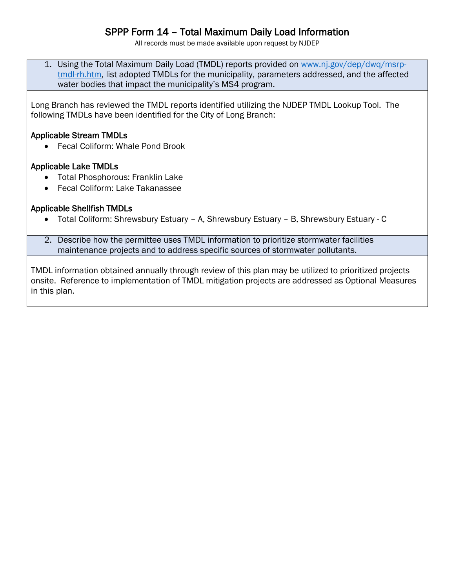## SPPP Form 14 – Total Maximum Daily Load Information

All records must be made available upon request by NJDEP

1. Using the Total Maximum Daily Load (TMDL) reports provided on [www.nj.gov/dep/dwq/msrp](http://www.nj.gov/dep/dwq/msrp-tmdl-rh.htm)[tmdl-rh.htm,](http://www.nj.gov/dep/dwq/msrp-tmdl-rh.htm) list adopted TMDLs for the municipality, parameters addressed, and the affected water bodies that impact the municipality's MS4 program.

Long Branch has reviewed the TMDL reports identified utilizing the NJDEP TMDL Lookup Tool. The following TMDLs have been identified for the City of Long Branch:

#### Applicable Stream TMDLs

• Fecal Coliform: Whale Pond Brook

#### Applicable Lake TMDLs

- Total Phosphorous: Franklin Lake
- Fecal Coliform: Lake Takanassee

#### Applicable Shellfish TMDLs

Total Coliform: Shrewsbury Estuary – A, Shrewsbury Estuary – B, Shrewsbury Estuary - C

2. Describe how the permittee uses TMDL information to prioritize stormwater facilities maintenance projects and to address specific sources of stormwater pollutants.

TMDL information obtained annually through review of this plan may be utilized to prioritized projects onsite. Reference to implementation of TMDL mitigation projects are addressed as Optional Measures in this plan.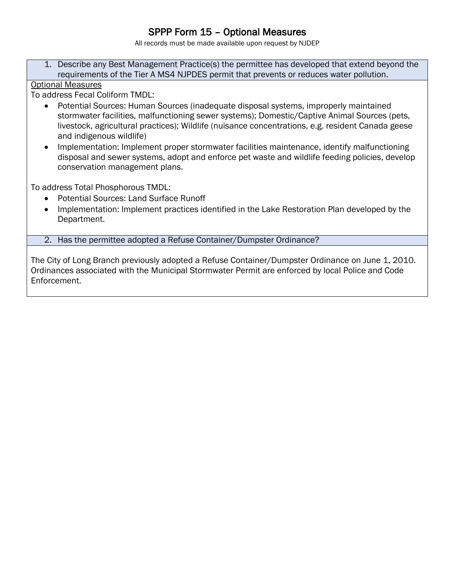## SPPP Form 15 – Optional Measures

All records must be made available upon request by NJDEP

1. Describe any Best Management Practice(s) the permittee has developed that extend beyond the requirements of the Tier A MS4 NJPDES permit that prevents or reduces water pollution.

#### Optional Measures

To address Fecal Coliform TMDL:

- Potential Sources: Human Sources (inadequate disposal systems, improperly maintained stormwater facilities, malfunctioning sewer systems); Domestic/Captive Animal Sources (pets, livestock, agricultural practices); Wildlife (nuisance concentrations, e.g. resident Canada geese and indigenous wildlife)
- Implementation: Implement proper stormwater facilities maintenance, identify malfunctioning disposal and sewer systems, adopt and enforce pet waste and wildlife feeding policies, develop conservation management plans.

To address Total Phosphorous TMDL:

- Potential Sources: Land Surface Runoff
- Implementation: Implement practices identified in the Lake Restoration Plan developed by the Department.
- 2. Has the permittee adopted a Refuse Container/Dumpster Ordinance?

The City of Long Branch previously adopted a Refuse Container/Dumpster Ordinance on June 1, 2010. Ordinances associated with the Municipal Stormwater Permit are enforced by local Police and Code Enforcement.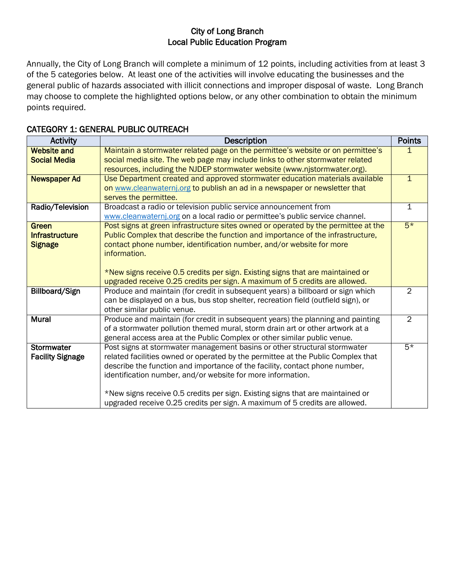#### City of Long Branch Local Public Education Program

Annually, the City of Long Branch will complete a minimum of 12 points, including activities from at least 3 of the 5 categories below. At least one of the activities will involve educating the businesses and the general public of hazards associated with illicit connections and improper disposal of waste. Long Branch may choose to complete the highlighted options below, or any other combination to obtain the minimum points required.

| <b>Activity</b>         | <b>Description</b>                                                                                                                                            | <b>Points</b>  |
|-------------------------|---------------------------------------------------------------------------------------------------------------------------------------------------------------|----------------|
| <b>Website and</b>      | Maintain a stormwater related page on the permittee's website or on permittee's                                                                               |                |
| <b>Social Media</b>     | social media site. The web page may include links to other stormwater related<br>resources, including the NJDEP stormwater website (www.njstormwater.org).    |                |
| <b>Newspaper Ad</b>     | Use Department created and approved stormwater education materials available                                                                                  | $\mathbf{1}$   |
|                         | on www.cleanwaternj.org to publish an ad in a newspaper or newsletter that                                                                                    |                |
|                         | serves the permittee.                                                                                                                                         |                |
| Radio/Television        | Broadcast a radio or television public service announcement from                                                                                              | $\mathbf 1$    |
|                         | www.cleanwaternj.org on a local radio or permittee's public service channel.                                                                                  |                |
| Green                   | Post signs at green infrastructure sites owned or operated by the permittee at the                                                                            | $5*$           |
| <b>Infrastructure</b>   | Public Complex that describe the function and importance of the infrastructure,                                                                               |                |
| <b>Signage</b>          | contact phone number, identification number, and/or website for more<br>information.                                                                          |                |
|                         |                                                                                                                                                               |                |
|                         | *New signs receive 0.5 credits per sign. Existing signs that are maintained or                                                                                |                |
|                         | upgraded receive 0.25 credits per sign. A maximum of 5 credits are allowed.                                                                                   |                |
| Billboard/Sign          | Produce and maintain (for credit in subsequent years) a billboard or sign which                                                                               | $\overline{2}$ |
|                         | can be displayed on a bus, bus stop shelter, recreation field (outfield sign), or                                                                             |                |
|                         | other similar public venue.                                                                                                                                   |                |
| <b>Mural</b>            | Produce and maintain (for credit in subsequent years) the planning and painting                                                                               | $\overline{2}$ |
|                         | of a stormwater pollution themed mural, storm drain art or other artwork at a                                                                                 |                |
|                         | general access area at the Public Complex or other similar public venue.                                                                                      |                |
| Stormwater              | Post signs at stormwater management basins or other structural stormwater                                                                                     | $5*$           |
| <b>Facility Signage</b> | related facilities owned or operated by the permittee at the Public Complex that                                                                              |                |
|                         | describe the function and importance of the facility, contact phone number,                                                                                   |                |
|                         | identification number, and/or website for more information.                                                                                                   |                |
|                         |                                                                                                                                                               |                |
|                         | *New signs receive 0.5 credits per sign. Existing signs that are maintained or<br>upgraded receive 0.25 credits per sign. A maximum of 5 credits are allowed. |                |
|                         |                                                                                                                                                               |                |

#### CATEGORY 1: GENERAL PUBLIC OUTREACH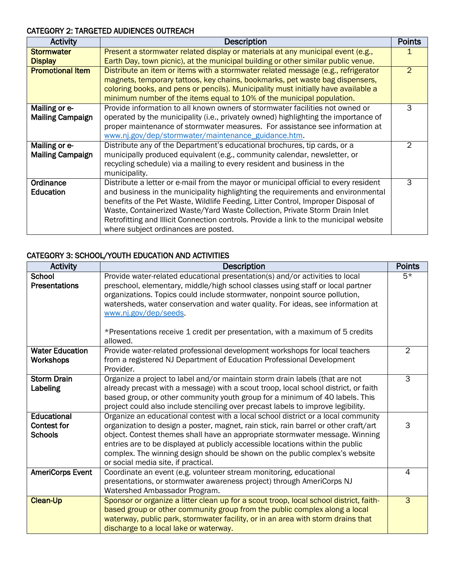#### CATEGORY 2: TARGETED AUDIENCES OUTREACH

| <b>Activity</b>         | <b>Description</b>                                                                    | <b>Points</b>  |
|-------------------------|---------------------------------------------------------------------------------------|----------------|
| <b>Stormwater</b>       | Present a stormwater related display or materials at any municipal event (e.g.,       |                |
| <b>Display</b>          | Earth Day, town picnic), at the municipal building or other similar public venue.     |                |
| <b>Promotional Item</b> | Distribute an item or items with a stormwater related message (e.g., refrigerator     | 2              |
|                         | magnets, temporary tattoos, key chains, bookmarks, pet waste bag dispensers,          |                |
|                         | coloring books, and pens or pencils). Municipality must initially have available a    |                |
|                         | minimum number of the items equal to 10% of the municipal population.                 |                |
| Mailing or e-           | Provide information to all known owners of stormwater facilities not owned or         | 3              |
| <b>Mailing Campaign</b> | operated by the municipality (i.e., privately owned) highlighting the importance of   |                |
|                         | proper maintenance of stormwater measures. For assistance see information at          |                |
|                         | www.nj.gov/dep/stormwater/maintenance_guidance.htm.                                   |                |
| Mailing or e-           | Distribute any of the Department's educational brochures, tip cards, or a             | $\overline{2}$ |
| <b>Mailing Campaign</b> | municipally produced equivalent (e.g., community calendar, newsletter, or             |                |
|                         | recycling schedule) via a mailing to every resident and business in the               |                |
|                         | municipality.                                                                         |                |
| Ordinance               | Distribute a letter or e-mail from the mayor or municipal official to every resident  | 3              |
| Education               | and business in the municipality highlighting the requirements and environmental      |                |
|                         | benefits of the Pet Waste, Wildlife Feeding, Litter Control, Improper Disposal of     |                |
|                         | Waste, Containerized Waste/Yard Waste Collection, Private Storm Drain Inlet           |                |
|                         | Retrofitting and Illicit Connection controls. Provide a link to the municipal website |                |
|                         | where subject ordinances are posted.                                                  |                |

#### CATEGORY 3: SCHOOL/YOUTH EDUCATION AND ACTIVITIES

| <b>Activity</b>                                     | <b>Description</b>                                                                                                                                                                                                                                                                                                                                                                                                                                               | <b>Points</b>       |
|-----------------------------------------------------|------------------------------------------------------------------------------------------------------------------------------------------------------------------------------------------------------------------------------------------------------------------------------------------------------------------------------------------------------------------------------------------------------------------------------------------------------------------|---------------------|
| School<br><b>Presentations</b>                      | Provide water-related educational presentation(s) and/or activities to local<br>preschool, elementary, middle/high school classes using staff or local partner<br>organizations. Topics could include stormwater, nonpoint source pollution,                                                                                                                                                                                                                     | $5*$                |
|                                                     | watersheds, water conservation and water quality. For ideas, see information at<br>www.nj.gov/dep/seeds.                                                                                                                                                                                                                                                                                                                                                         |                     |
|                                                     | *Presentations receive 1 credit per presentation, with a maximum of 5 credits<br>allowed.                                                                                                                                                                                                                                                                                                                                                                        |                     |
| <b>Water Education</b><br>Workshops                 | Provide water-related professional development workshops for local teachers<br>from a registered NJ Department of Education Professional Development<br>Provider.                                                                                                                                                                                                                                                                                                | 2                   |
| <b>Storm Drain</b><br>Labeling                      | Organize a project to label and/or maintain storm drain labels (that are not<br>already precast with a message) with a scout troop, local school district, or faith<br>based group, or other community youth group for a minimum of 40 labels. This<br>project could also include stenciling over precast labels to improve legibility.                                                                                                                          | $\overline{\omega}$ |
| Educational<br><b>Contest for</b><br><b>Schools</b> | Organize an educational contest with a local school district or a local community<br>organization to design a poster, magnet, rain stick, rain barrel or other craft/art<br>object. Contest themes shall have an appropriate stormwater message. Winning<br>entries are to be displayed at publicly accessible locations within the public<br>complex. The winning design should be shown on the public complex's website<br>or social media site, if practical. | 3                   |
| <b>AmeriCorps Event</b>                             | Coordinate an event (e.g. volunteer stream monitoring, educational<br>presentations, or stormwater awareness project) through AmeriCorps NJ<br>Watershed Ambassador Program.                                                                                                                                                                                                                                                                                     | 4                   |
| <b>Clean-Up</b>                                     | Sponsor or organize a litter clean up for a scout troop, local school district, faith-<br>based group or other community group from the public complex along a local<br>waterway, public park, stormwater facility, or in an area with storm drains that<br>discharge to a local lake or waterway.                                                                                                                                                               | $\overline{3}$      |